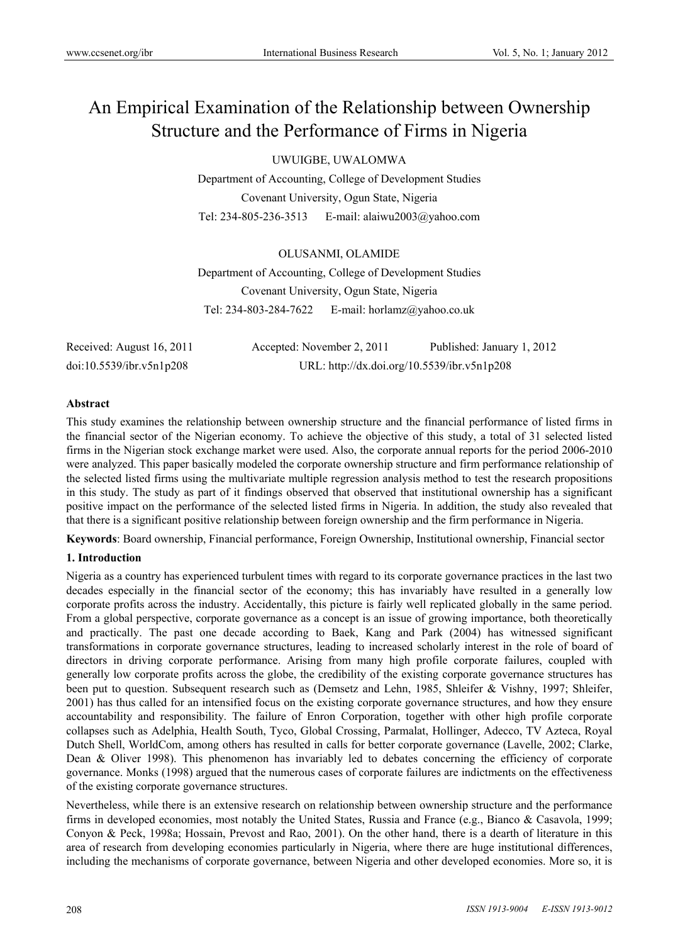# An Empirical Examination of the Relationship between Ownership Structure and the Performance of Firms in Nigeria

UWUIGBE, UWALOMWA

Department of Accounting, College of Development Studies Covenant University, Ogun State, Nigeria Tel: 234-805-236-3513 E-mail: alaiwu2003@yahoo.com

# OLUSANMI, OLAMIDE

Department of Accounting, College of Development Studies Covenant University, Ogun State, Nigeria Tel: 234-803-284-7622 E-mail: horlamz@yahoo.co.uk

| Received: August 16, 2011 | Accepted: November 2, 2011                  | Published: January 1, 2012 |
|---------------------------|---------------------------------------------|----------------------------|
| doi:10.5539/ibr.v5n1p208  | URL: http://dx.doi.org/10.5539/ibr.v5n1p208 |                            |

# **Abstract**

This study examines the relationship between ownership structure and the financial performance of listed firms in the financial sector of the Nigerian economy. To achieve the objective of this study, a total of 31 selected listed firms in the Nigerian stock exchange market were used. Also, the corporate annual reports for the period 2006-2010 were analyzed. This paper basically modeled the corporate ownership structure and firm performance relationship of the selected listed firms using the multivariate multiple regression analysis method to test the research propositions in this study. The study as part of it findings observed that observed that institutional ownership has a significant positive impact on the performance of the selected listed firms in Nigeria. In addition, the study also revealed that that there is a significant positive relationship between foreign ownership and the firm performance in Nigeria.

**Keywords**: Board ownership, Financial performance, Foreign Ownership, Institutional ownership, Financial sector

# **1. Introduction**

Nigeria as a country has experienced turbulent times with regard to its corporate governance practices in the last two decades especially in the financial sector of the economy; this has invariably have resulted in a generally low corporate profits across the industry. Accidentally, this picture is fairly well replicated globally in the same period. From a global perspective, corporate governance as a concept is an issue of growing importance, both theoretically and practically. The past one decade according to Baek, Kang and Park (2004) has witnessed significant transformations in corporate governance structures, leading to increased scholarly interest in the role of board of directors in driving corporate performance. Arising from many high profile corporate failures, coupled with generally low corporate profits across the globe, the credibility of the existing corporate governance structures has been put to question. Subsequent research such as (Demsetz and Lehn, 1985, Shleifer & Vishny, 1997; Shleifer, 2001) has thus called for an intensified focus on the existing corporate governance structures, and how they ensure accountability and responsibility. The failure of Enron Corporation, together with other high profile corporate collapses such as Adelphia, Health South, Tyco, Global Crossing, Parmalat, Hollinger, Adecco, TV Azteca, Royal Dutch Shell, WorldCom, among others has resulted in calls for better corporate governance (Lavelle, 2002; Clarke, Dean & Oliver 1998). This phenomenon has invariably led to debates concerning the efficiency of corporate governance. Monks (1998) argued that the numerous cases of corporate failures are indictments on the effectiveness of the existing corporate governance structures.

Nevertheless, while there is an extensive research on relationship between ownership structure and the performance firms in developed economies, most notably the United States, Russia and France (e.g., Bianco & Casavola, 1999; Conyon & Peck, 1998a; Hossain, Prevost and Rao, 2001). On the other hand, there is a dearth of literature in this area of research from developing economies particularly in Nigeria, where there are huge institutional differences, including the mechanisms of corporate governance, between Nigeria and other developed economies. More so, it is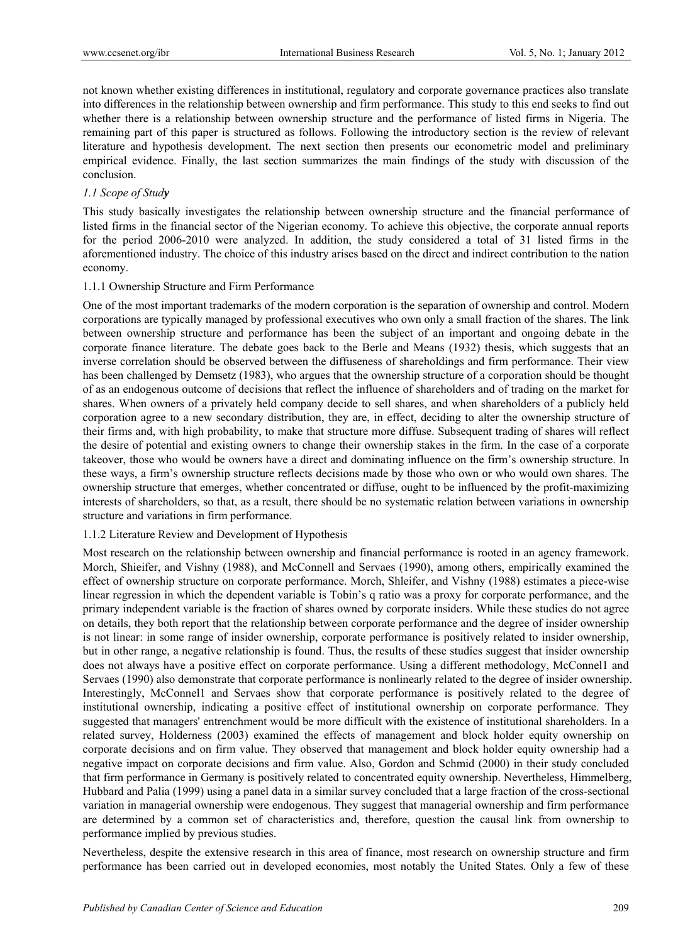not known whether existing differences in institutional, regulatory and corporate governance practices also translate into differences in the relationship between ownership and firm performance. This study to this end seeks to find out whether there is a relationship between ownership structure and the performance of listed firms in Nigeria. The remaining part of this paper is structured as follows. Following the introductory section is the review of relevant literature and hypothesis development. The next section then presents our econometric model and preliminary empirical evidence. Finally, the last section summarizes the main findings of the study with discussion of the conclusion.

# *1.1 Scope of Study*

This study basically investigates the relationship between ownership structure and the financial performance of listed firms in the financial sector of the Nigerian economy. To achieve this objective, the corporate annual reports for the period 2006-2010 were analyzed. In addition, the study considered a total of 31 listed firms in the aforementioned industry. The choice of this industry arises based on the direct and indirect contribution to the nation economy.

#### 1.1.1 Ownership Structure and Firm Performance

One of the most important trademarks of the modern corporation is the separation of ownership and control. Modern corporations are typically managed by professional executives who own only a small fraction of the shares. The link between ownership structure and performance has been the subject of an important and ongoing debate in the corporate finance literature. The debate goes back to the Berle and Means (1932) thesis, which suggests that an inverse correlation should be observed between the diffuseness of shareholdings and firm performance. Their view has been challenged by Demsetz (1983), who argues that the ownership structure of a corporation should be thought of as an endogenous outcome of decisions that reflect the influence of shareholders and of trading on the market for shares. When owners of a privately held company decide to sell shares, and when shareholders of a publicly held corporation agree to a new secondary distribution, they are, in effect, deciding to alter the ownership structure of their firms and, with high probability, to make that structure more diffuse. Subsequent trading of shares will reflect the desire of potential and existing owners to change their ownership stakes in the firm. In the case of a corporate takeover, those who would be owners have a direct and dominating influence on the firm's ownership structure. In these ways, a firm's ownership structure reflects decisions made by those who own or who would own shares. The ownership structure that emerges, whether concentrated or diffuse, ought to be influenced by the profit-maximizing interests of shareholders, so that, as a result, there should be no systematic relation between variations in ownership structure and variations in firm performance.

# 1.1.2 Literature Review and Development of Hypothesis

Most research on the relationship between ownership and financial performance is rooted in an agency framework. Morch, Shieifer, and Vishny (1988), and McConnell and Servaes (1990), among others, empirically examined the effect of ownership structure on corporate performance. Morch, Shleifer, and Vishny (1988) estimates a piece-wise linear regression in which the dependent variable is Tobin's q ratio was a proxy for corporate performance, and the primary independent variable is the fraction of shares owned by corporate insiders. While these studies do not agree on details, they both report that the relationship between corporate performance and the degree of insider ownership is not linear: in some range of insider ownership, corporate performance is positively related to insider ownership, but in other range, a negative relationship is found. Thus, the results of these studies suggest that insider ownership does not always have a positive effect on corporate performance. Using a different methodology, McConnel1 and Servaes (1990) also demonstrate that corporate performance is nonlinearly related to the degree of insider ownership. Interestingly, McConnel1 and Servaes show that corporate performance is positively related to the degree of institutional ownership, indicating a positive effect of institutional ownership on corporate performance. They suggested that managers' entrenchment would be more difficult with the existence of institutional shareholders. In a related survey, Holderness (2003) examined the effects of management and block holder equity ownership on corporate decisions and on firm value. They observed that management and block holder equity ownership had a negative impact on corporate decisions and firm value. Also, Gordon and Schmid (2000) in their study concluded that firm performance in Germany is positively related to concentrated equity ownership. Nevertheless, Himmelberg, Hubbard and Palia (1999) using a panel data in a similar survey concluded that a large fraction of the cross-sectional variation in managerial ownership were endogenous. They suggest that managerial ownership and firm performance are determined by a common set of characteristics and, therefore, question the causal link from ownership to performance implied by previous studies.

Nevertheless, despite the extensive research in this area of finance, most research on ownership structure and firm performance has been carried out in developed economies, most notably the United States. Only a few of these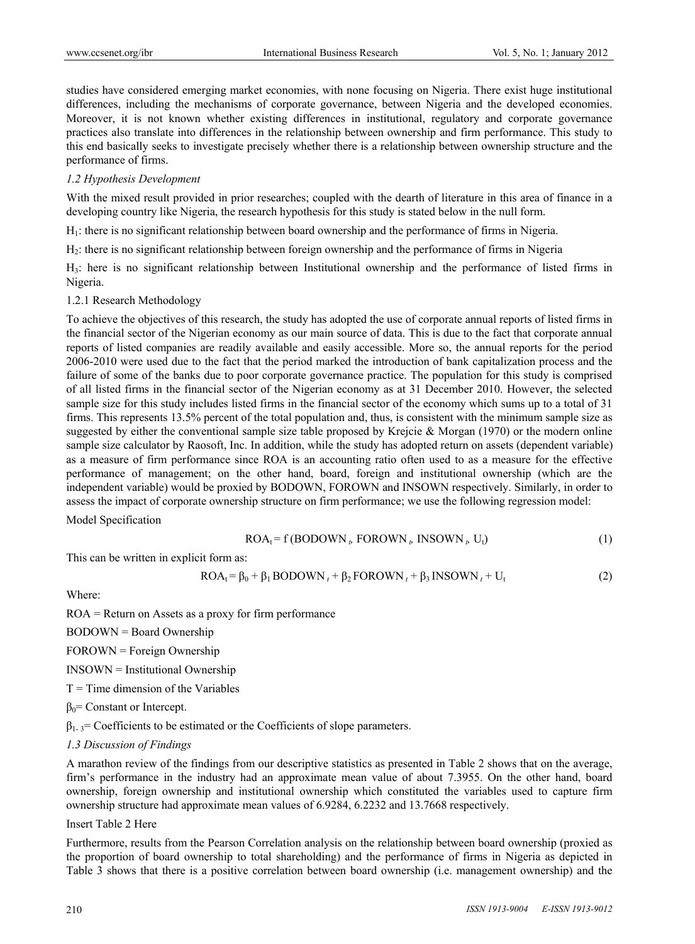studies have considered emerging market economies, with none focusing on Nigeria. There exist huge institutional differences, including the mechanisms of corporate governance, between Nigeria and the developed economies. Moreover, it is not known whether existing differences in institutional, regulatory and corporate governance practices also translate into differences in the relationship between ownership and firm performance. This study to this end basically seeks to investigate precisely whether there is a relationship between ownership structure and the performance of firms.

# *1.2 Hypothesis Development*

With the mixed result provided in prior researches; coupled with the dearth of literature in this area of finance in a developing country like Nigeria, the research hypothesis for this study is stated below in the null form.

H1: there is no significant relationship between board ownership and the performance of firms in Nigeria.

H2: there is no significant relationship between foreign ownership and the performance of firms in Nigeria

H3: here is no significant relationship between Institutional ownership and the performance of listed firms in Nigeria.

#### 1.2.1 Research Methodology

To achieve the objectives of this research, the study has adopted the use of corporate annual reports of listed firms in the financial sector of the Nigerian economy as our main source of data. This is due to the fact that corporate annual reports of listed companies are readily available and easily accessible. More so, the annual reports for the period 2006-2010 were used due to the fact that the period marked the introduction of bank capitalization process and the failure of some of the banks due to poor corporate governance practice. The population for this study is comprised of all listed firms in the financial sector of the Nigerian economy as at 31 December 2010. However, the selected sample size for this study includes listed firms in the financial sector of the economy which sums up to a total of 31 firms. This represents 13.5% percent of the total population and, thus, is consistent with the minimum sample size as suggested by either the conventional sample size table proposed by Krejcie & Morgan (1970) or the modern online sample size calculator by Raosoft, Inc. In addition, while the study has adopted return on assets (dependent variable) as a measure of firm performance since ROA is an accounting ratio often used to as a measure for the effective performance of management; on the other hand, board, foreign and institutional ownership (which are the independent variable) would be proxied by BODOWN, FOROWN and INSOWN respectively. Similarly, in order to assess the impact of corporate ownership structure on firm performance; we use the following regression model:

Model Specification

$$
ROAt = f(BODOWNb, FOROWNb, INSOWNb, Ut)
$$
 (1)

This can be written in explicit form as:

$$
ROAt = \beta_0 + \beta_1 BODOWN_t + \beta_2 FOROWN_t + \beta_3 INSOWN_t + U_t
$$
 (2)

Where:

ROA = Return on Assets as a proxy for firm performance

BODOWN = Board Ownership

FOROWN = Foreign Ownership

INSOWN = Institutional Ownership

 $T =$ Time dimension of the Variables

 $β<sub>0</sub> = Constant or Intercept.$ 

 $\beta_1$ ,  $\beta_2$  = Coefficients to be estimated or the Coefficients of slope parameters.

#### *1.3 Discussion of Findings*

A marathon review of the findings from our descriptive statistics as presented in Table 2 shows that on the average, firm's performance in the industry had an approximate mean value of about 7.3955. On the other hand, board ownership, foreign ownership and institutional ownership which constituted the variables used to capture firm ownership structure had approximate mean values of 6.9284, 6.2232 and 13.7668 respectively.

Insert Table 2 Here

Furthermore, results from the Pearson Correlation analysis on the relationship between board ownership (proxied as the proportion of board ownership to total shareholding) and the performance of firms in Nigeria as depicted in Table 3 shows that there is a positive correlation between board ownership (i.e. management ownership) and the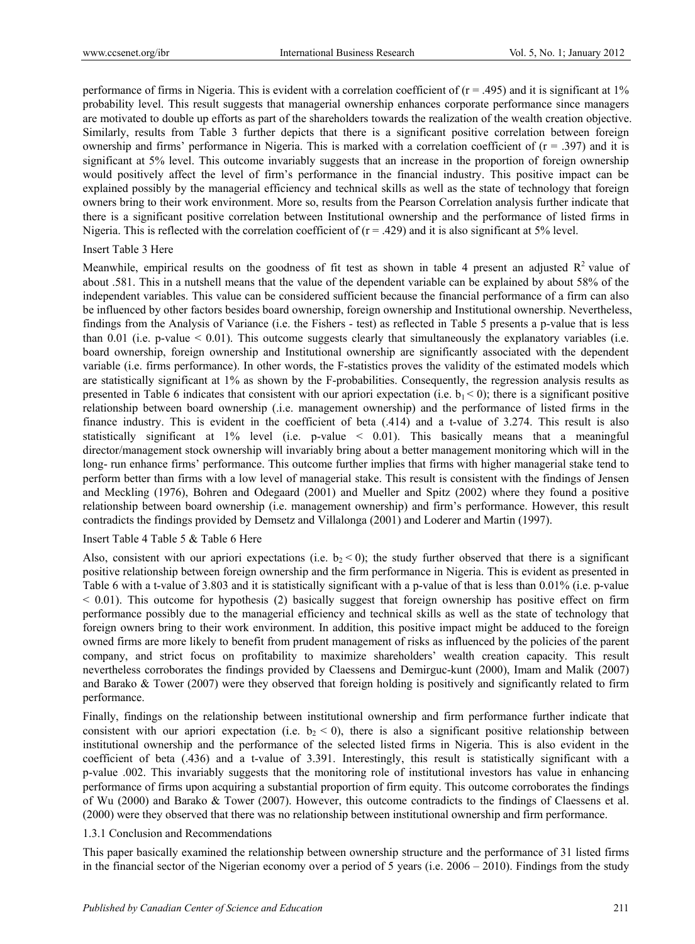performance of firms in Nigeria. This is evident with a correlation coefficient of  $(r = .495)$  and it is significant at 1% probability level. This result suggests that managerial ownership enhances corporate performance since managers are motivated to double up efforts as part of the shareholders towards the realization of the wealth creation objective. Similarly, results from Table 3 further depicts that there is a significant positive correlation between foreign ownership and firms' performance in Nigeria. This is marked with a correlation coefficient of  $(r = .397)$  and it is significant at 5% level. This outcome invariably suggests that an increase in the proportion of foreign ownership would positively affect the level of firm's performance in the financial industry. This positive impact can be explained possibly by the managerial efficiency and technical skills as well as the state of technology that foreign owners bring to their work environment. More so, results from the Pearson Correlation analysis further indicate that there is a significant positive correlation between Institutional ownership and the performance of listed firms in Nigeria. This is reflected with the correlation coefficient of  $(r = .429)$  and it is also significant at 5% level.

# Insert Table 3 Here

Meanwhile, empirical results on the goodness of fit test as shown in table 4 present an adjusted  $R^2$  value of about .581. This in a nutshell means that the value of the dependent variable can be explained by about 58% of the independent variables. This value can be considered sufficient because the financial performance of a firm can also be influenced by other factors besides board ownership, foreign ownership and Institutional ownership. Nevertheless, findings from the Analysis of Variance (i.e. the Fishers - test) as reflected in Table 5 presents a p-value that is less than 0.01 (i.e. p-value  $\leq$  0.01). This outcome suggests clearly that simultaneously the explanatory variables (i.e. board ownership, foreign ownership and Institutional ownership are significantly associated with the dependent variable (i.e. firms performance). In other words, the F-statistics proves the validity of the estimated models which are statistically significant at 1% as shown by the F-probabilities. Consequently, the regression analysis results as presented in Table 6 indicates that consistent with our apriori expectation (i.e.  $b_1 < 0$ ); there is a significant positive relationship between board ownership (.i.e. management ownership) and the performance of listed firms in the finance industry. This is evident in the coefficient of beta (.414) and a t-value of 3.274. This result is also statistically significant at 1% level (i.e. p-value < 0.01). This basically means that a meaningful director/management stock ownership will invariably bring about a better management monitoring which will in the long- run enhance firms' performance. This outcome further implies that firms with higher managerial stake tend to perform better than firms with a low level of managerial stake. This result is consistent with the findings of Jensen and Meckling (1976), Bohren and Odegaard (2001) and Mueller and Spitz (2002) where they found a positive relationship between board ownership (i.e. management ownership) and firm's performance. However, this result contradicts the findings provided by Demsetz and Villalonga (2001) and Loderer and Martin (1997).

# Insert Table 4 Table 5 & Table 6 Here

Also, consistent with our apriori expectations (i.e.  $b_2 < 0$ ); the study further observed that there is a significant positive relationship between foreign ownership and the firm performance in Nigeria. This is evident as presented in Table 6 with a t-value of 3.803 and it is statistically significant with a p-value of that is less than 0.01% (i.e. p-value  $<$  0.01). This outcome for hypothesis (2) basically suggest that foreign ownership has positive effect on firm performance possibly due to the managerial efficiency and technical skills as well as the state of technology that foreign owners bring to their work environment. In addition, this positive impact might be adduced to the foreign owned firms are more likely to benefit from prudent management of risks as influenced by the policies of the parent company, and strict focus on profitability to maximize shareholders' wealth creation capacity. This result nevertheless corroborates the findings provided by Claessens and Demirguc-kunt (2000), Imam and Malik (2007) and Barako & Tower (2007) were they observed that foreign holding is positively and significantly related to firm performance.

Finally, findings on the relationship between institutional ownership and firm performance further indicate that consistent with our apriori expectation (i.e.  $b_2 < 0$ ), there is also a significant positive relationship between institutional ownership and the performance of the selected listed firms in Nigeria. This is also evident in the coefficient of beta (.436) and a t-value of 3.391. Interestingly, this result is statistically significant with a p-value .002. This invariably suggests that the monitoring role of institutional investors has value in enhancing performance of firms upon acquiring a substantial proportion of firm equity. This outcome corroborates the findings of Wu (2000) and Barako & Tower (2007). However, this outcome contradicts to the findings of Claessens et al. (2000) were they observed that there was no relationship between institutional ownership and firm performance.

# 1.3.1 Conclusion and Recommendations

This paper basically examined the relationship between ownership structure and the performance of 31 listed firms in the financial sector of the Nigerian economy over a period of 5 years (i.e.  $2006 - 2010$ ). Findings from the study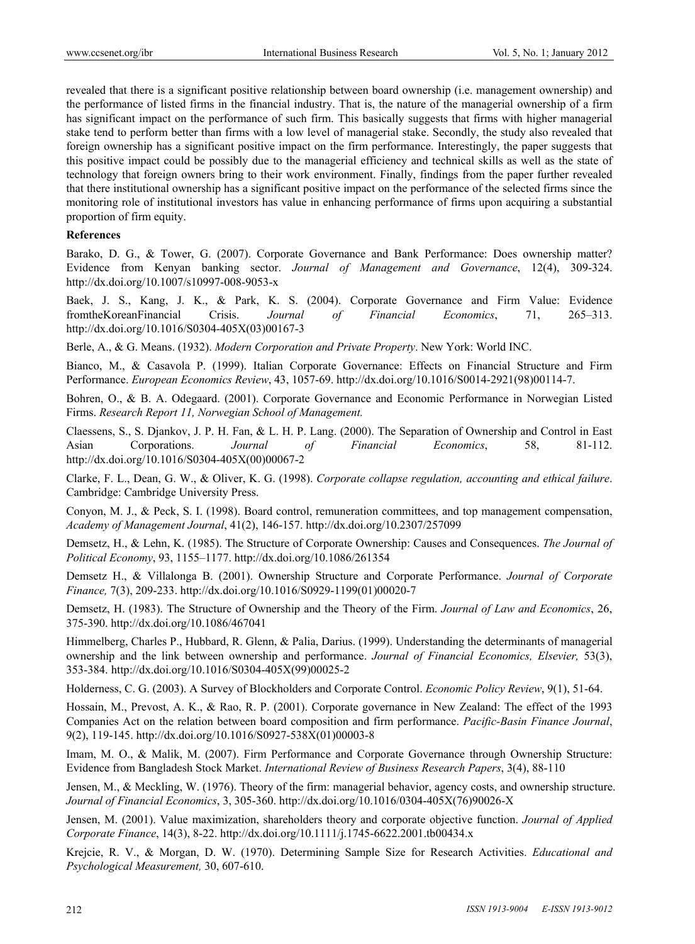revealed that there is a significant positive relationship between board ownership (i.e. management ownership) and the performance of listed firms in the financial industry. That is, the nature of the managerial ownership of a firm has significant impact on the performance of such firm. This basically suggests that firms with higher managerial stake tend to perform better than firms with a low level of managerial stake. Secondly, the study also revealed that foreign ownership has a significant positive impact on the firm performance. Interestingly, the paper suggests that this positive impact could be possibly due to the managerial efficiency and technical skills as well as the state of technology that foreign owners bring to their work environment. Finally, findings from the paper further revealed that there institutional ownership has a significant positive impact on the performance of the selected firms since the monitoring role of institutional investors has value in enhancing performance of firms upon acquiring a substantial proportion of firm equity.

### **References**

Barako, D. G., & Tower, G. (2007). Corporate Governance and Bank Performance: Does ownership matter? Evidence from Kenyan banking sector. *Journal of Management and Governance*, 12(4), 309-324. http://dx.doi.org/10.1007/s10997-008-9053-x

Baek, J. S., Kang, J. K., & Park, K. S. (2004). Corporate Governance and Firm Value: Evidence fromtheKoreanFinancial Crisis. *Journal of Financial Economics*, 71, 265–313. http://dx.doi.org/10.1016/S0304-405X(03)00167-3

Berle, A., & G. Means. (1932). *Modern Corporation and Private Property*. New York: World INC.

Bianco, M., & Casavola P. (1999). Italian Corporate Governance: Effects on Financial Structure and Firm Performance. *European Economics Review*, 43, 1057-69. http://dx.doi.org/10.1016/S0014-2921(98)00114-7.

Bohren, O., & B. A. Odegaard. (2001). Corporate Governance and Economic Performance in Norwegian Listed Firms. *Research Report 11, Norwegian School of Management.* 

Claessens, S., S. Djankov, J. P. H. Fan, & L. H. P. Lang. (2000). The Separation of Ownership and Control in East Asian Corporations. *Journal of Financial Economics*, 58, 81-112. http://dx.doi.org/10.1016/S0304-405X(00)00067-2

Clarke, F. L., Dean, G. W., & Oliver, K. G. (1998). *Corporate collapse regulation, accounting and ethical failure*. Cambridge: Cambridge University Press.

Conyon, M. J., & Peck, S. I. (1998). Board control, remuneration committees, and top management compensation, *Academy of Management Journal*, 41(2), 146-157. http://dx.doi.org/10.2307/257099

Demsetz, H., & Lehn, K. (1985). The Structure of Corporate Ownership: Causes and Consequences. *The Journal of Political Economy*, 93, 1155–1177. http://dx.doi.org/10.1086/261354

Demsetz H., & Villalonga B. (2001). Ownership Structure and Corporate Performance. *Journal of Corporate Finance,* 7(3), 209-233. http://dx.doi.org/10.1016/S0929-1199(01)00020-7

Demsetz, H. (1983). The Structure of Ownership and the Theory of the Firm. *Journal of Law and Economics*, 26, 375-390. http://dx.doi.org/10.1086/467041

Himmelberg, Charles P., Hubbard, R. Glenn, & Palia, Darius. (1999). Understanding the determinants of managerial ownership and the link between ownership and performance. *Journal of Financial Economics, Elsevier,* 53(3), 353-384. http://dx.doi.org/10.1016/S0304-405X(99)00025-2

Holderness, C. G. (2003). A Survey of Blockholders and Corporate Control. *Economic Policy Review*, 9(1), 51-64.

Hossain, M., Prevost, A. K., & Rao, R. P. (2001). Corporate governance in New Zealand: The effect of the 1993 Companies Act on the relation between board composition and firm performance. *Pacific-Basin Finance Journal*, 9(2), 119-145. http://dx.doi.org/10.1016/S0927-538X(01)00003-8

Imam, M. O., & Malik, M. (2007). Firm Performance and Corporate Governance through Ownership Structure: Evidence from Bangladesh Stock Market. *International Review of Business Research Papers*, 3(4), 88-110

Jensen, M., & Meckling, W. (1976). Theory of the firm: managerial behavior, agency costs, and ownership structure. *Journal of Financial Economics*, 3, 305-360. http://dx.doi.org/10.1016/0304-405X(76)90026-X

Jensen, M. (2001). Value maximization, shareholders theory and corporate objective function. *Journal of Applied Corporate Finance*, 14(3), 8-22. http://dx.doi.org/10.1111/j.1745-6622.2001.tb00434.x

Krejcie, R. V., & Morgan, D. W. (1970). Determining Sample Size for Research Activities. *Educational and Psychological Measurement,* 30, 607-610.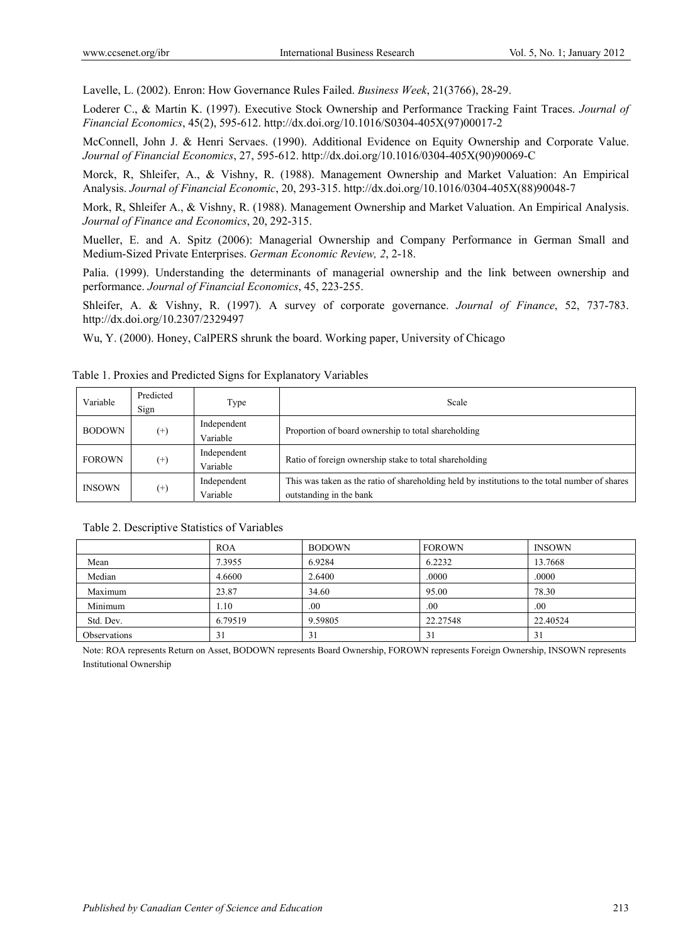Lavelle, L. (2002). Enron: How Governance Rules Failed. *Business Week*, 21(3766), 28-29.

Loderer C., & Martin K. (1997). Executive Stock Ownership and Performance Tracking Faint Traces. *Journal of Financial Economics*, 45(2), 595-612. http://dx.doi.org/10.1016/S0304-405X(97)00017-2

McConnell, John J. & Henri Servaes. (1990). Additional Evidence on Equity Ownership and Corporate Value. *Journal of Financial Economics*, 27, 595-612. http://dx.doi.org/10.1016/0304-405X(90)90069-C

Morck, R, Shleifer, A., & Vishny, R. (1988). Management Ownership and Market Valuation: An Empirical Analysis. *Journal of Financial Economic*, 20, 293-315. http://dx.doi.org/10.1016/0304-405X(88)90048-7

Mork, R, Shleifer A., & Vishny, R. (1988). Management Ownership and Market Valuation. An Empirical Analysis. *Journal of Finance and Economics*, 20, 292-315.

Mueller, E. and A. Spitz (2006): Managerial Ownership and Company Performance in German Small and Medium-Sized Private Enterprises. *German Economic Review, 2*, 2-18.

Palia. (1999). Understanding the determinants of managerial ownership and the link between ownership and performance. *Journal of Financial Economics*, 45, 223-255.

Shleifer, A. & Vishny, R. (1997). A survey of corporate governance. *Journal of Finance*, 52, 737-783. http://dx.doi.org/10.2307/2329497

Wu, Y. (2000). Honey, CalPERS shrunk the board. Working paper, University of Chicago

| Variable      | Predicted<br>Sign | Type                    | Scale                                                                                                                     |
|---------------|-------------------|-------------------------|---------------------------------------------------------------------------------------------------------------------------|
| <b>BODOWN</b> | $^{(+)}$          | Independent<br>Variable | Proportion of board ownership to total shareholding                                                                       |
| <b>FOROWN</b> | $^{(+)}$          | Independent<br>Variable | Ratio of foreign ownership stake to total shareholding                                                                    |
| <b>INSOWN</b> | $^{(+)}$          | Independent<br>Variable | This was taken as the ratio of shareholding held by institutions to the total number of shares<br>outstanding in the bank |

Table 1. Proxies and Predicted Signs for Explanatory Variables

Table 2. Descriptive Statistics of Variables

|                     | <b>ROA</b> | <b>BODOWN</b> | <b>FOROWN</b> | <b>INSOWN</b> |
|---------------------|------------|---------------|---------------|---------------|
| Mean                | 7.3955     | 6.9284        | 6.2232        | 13.7668       |
| Median              | 4.6600     | 2.6400        | .0000         | .0000         |
| Maximum             | 23.87      | 34.60         | 95.00         | 78.30         |
| Minimum             | 1.10       | .00           | .00           | .00           |
| Std. Dev.           | 6.79519    | 9.59805       | 22.27548      | 22.40524      |
| <b>Observations</b> | 31         | 31            | ا د           | 31            |

Note: ROA represents Return on Asset, BODOWN represents Board Ownership, FOROWN represents Foreign Ownership, INSOWN represents Institutional Ownership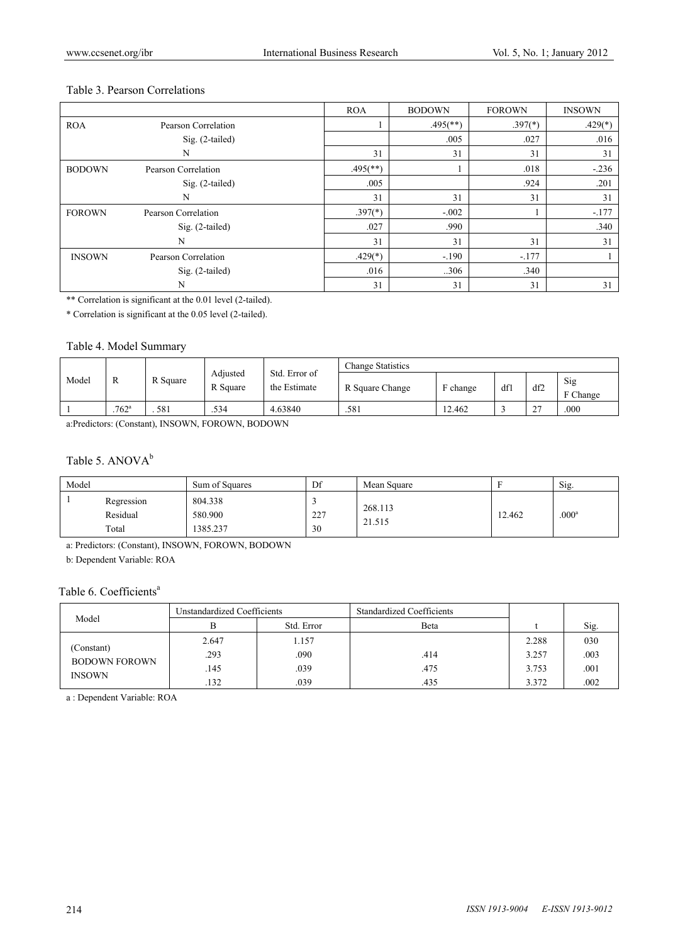# Table 3. Pearson Correlations

|               |                     | <b>ROA</b>             | <b>BODOWN</b>            | <b>FOROWN</b> | <b>INSOWN</b> |
|---------------|---------------------|------------------------|--------------------------|---------------|---------------|
| <b>ROA</b>    | Pearson Correlation |                        | $.495$ <sup>(**)</sup> ) | $.397(*)$     | $.429(*)$     |
|               | Sig. (2-tailed)     |                        | .005                     | .027          | .016          |
|               | N                   | 31                     | 31                       | 31            | 31            |
| <b>BODOWN</b> | Pearson Correlation | $.495$ <sup>**</sup> ) |                          | .018          | $-.236$       |
|               | Sig. (2-tailed)     | .005                   |                          | .924          | .201          |
|               | N                   | 31                     | 31                       | 31            | 31            |
| <b>FOROWN</b> | Pearson Correlation | $.397(*)$              | $-.002$                  |               | $-.177$       |
|               | $Sig. (2-tailed)$   | .027                   | .990                     |               | .340          |
|               | N                   | 31                     | 31                       | 31            | 31            |
| <b>INSOWN</b> | Pearson Correlation | $.429(*)$              | $-.190$                  | $-.177$       |               |
|               | $Sig. (2-tailed)$   | .016                   | .306                     | .340          |               |
|               | N                   | 31                     | 31                       | 31            | 31            |

\*\* Correlation is significant at the 0.01 level (2-tailed).

\* Correlation is significant at the 0.05 level (2-tailed).

# Table 4. Model Summary

|       |                |          |                      | Std. Error of<br>the Estimate | <b>Change Statistics</b> |          |     |                         |               |
|-------|----------------|----------|----------------------|-------------------------------|--------------------------|----------|-----|-------------------------|---------------|
| Model | R              | R Square | Adiusted<br>R Square |                               | R Square Change          | F change | df1 | df2                     | Sig<br>Change |
|       | $.762^{\circ}$ | 581      | .534                 | 4.63840                       | .581                     | 12.462   |     | $\sim$<br>$\mathcal{L}$ | .000          |

a:Predictors: (Constant), INSOWN, FOROWN, BODOWN

# Table 5. ANOVA<sup>b</sup>

| Model                           | Sum of Squares                 | Df        | Mean Square       |        | Sig.              |
|---------------------------------|--------------------------------|-----------|-------------------|--------|-------------------|
| Regression<br>Residual<br>Total | 804.338<br>580.900<br>1385.237 | 227<br>30 | 268.113<br>21.515 | 12.462 | .000 <sup>a</sup> |

a: Predictors: (Constant), INSOWN, FOROWN, BODOWN

b: Dependent Variable: ROA

# Table 6. Coefficients<sup>a</sup>

|                      | Unstandardized Coefficients |            | <b>Standardized Coefficients</b> |       |      |
|----------------------|-----------------------------|------------|----------------------------------|-------|------|
| Model                | В                           | Std. Error | Beta                             |       | Sig. |
|                      | 2.647                       | 1.157      |                                  | 2.288 | 030  |
| (Constant)           | .293                        | .090       | .414                             | 3.257 | .003 |
| <b>BODOWN FOROWN</b> | .145                        | .039       | .475                             | 3.753 | .001 |
| <b>INSOWN</b>        | .132                        | .039       | .435                             | 3.372 | .002 |

a : Dependent Variable: ROA